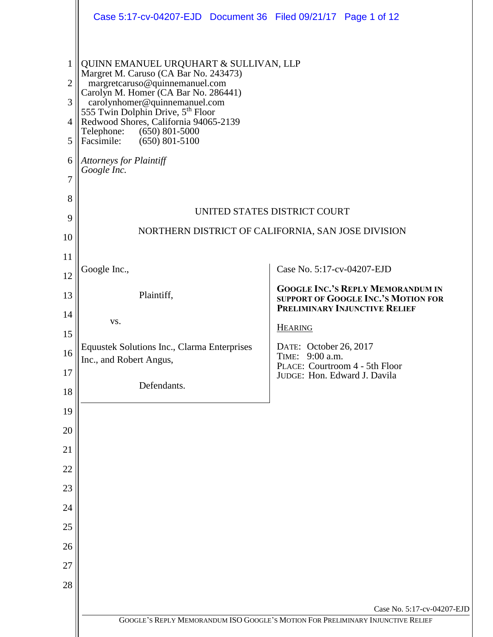|                                                           | Case 5:17-cv-04207-EJD Document 36 Filed 09/21/17 Page 1 of 12                                                                                                                                                                                                                                                                                                                                |                                                                                                                         |  |
|-----------------------------------------------------------|-----------------------------------------------------------------------------------------------------------------------------------------------------------------------------------------------------------------------------------------------------------------------------------------------------------------------------------------------------------------------------------------------|-------------------------------------------------------------------------------------------------------------------------|--|
| 1<br>$\overline{2}$<br>3<br>$\overline{4}$<br>5<br>6<br>7 | QUINN EMANUEL URQUHART & SULLIVAN, LLP<br>Margret M. Caruso (CA Bar No. 243473)<br>margretcaruso@quinnemanuel.com<br>Carolyn M. Homer (CA Bar No. 286441)<br>carolynhomer@quinnemanuel.com<br>555 Twin Dolphin Drive, 5th Floor<br>Redwood Shores, California 94065-2139<br>Telephone:<br>$(650)$ 801-5000<br>Facsimile:<br>$(650)$ 801-5100<br><b>Attorneys for Plaintiff</b><br>Google Inc. |                                                                                                                         |  |
| 8                                                         |                                                                                                                                                                                                                                                                                                                                                                                               |                                                                                                                         |  |
| 9                                                         | UNITED STATES DISTRICT COURT<br>NORTHERN DISTRICT OF CALIFORNIA, SAN JOSE DIVISION                                                                                                                                                                                                                                                                                                            |                                                                                                                         |  |
| 10                                                        |                                                                                                                                                                                                                                                                                                                                                                                               |                                                                                                                         |  |
| 11<br>12                                                  | Google Inc.,                                                                                                                                                                                                                                                                                                                                                                                  | Case No. 5:17-cv-04207-EJD                                                                                              |  |
| 13                                                        | Plaintiff,                                                                                                                                                                                                                                                                                                                                                                                    | <b>GOOGLE INC.'S REPLY MEMORANDUM IN</b><br>SUPPORT OF GOOGLE INC.'S MOTION FOR<br><b>PRELIMINARY INJUNCTIVE RELIEF</b> |  |
| 14                                                        | VS.                                                                                                                                                                                                                                                                                                                                                                                           | <b>HEARING</b>                                                                                                          |  |
| 15                                                        | <b>Equustek Solutions Inc., Clarma Enterprises</b>                                                                                                                                                                                                                                                                                                                                            | DATE: October 26, 2017                                                                                                  |  |
| 16                                                        | Inc., and Robert Angus,                                                                                                                                                                                                                                                                                                                                                                       | TIME: 9:00 a.m.<br>PLACE: Courtroom 4 - 5th Floor                                                                       |  |
| 17<br>18                                                  | Defendants.                                                                                                                                                                                                                                                                                                                                                                                   | JUDGE: Hon. Edward J. Davila                                                                                            |  |
| 19                                                        |                                                                                                                                                                                                                                                                                                                                                                                               |                                                                                                                         |  |
| 20                                                        |                                                                                                                                                                                                                                                                                                                                                                                               |                                                                                                                         |  |
| 21                                                        |                                                                                                                                                                                                                                                                                                                                                                                               |                                                                                                                         |  |
| 22                                                        |                                                                                                                                                                                                                                                                                                                                                                                               |                                                                                                                         |  |
| 23                                                        |                                                                                                                                                                                                                                                                                                                                                                                               |                                                                                                                         |  |
| 24                                                        |                                                                                                                                                                                                                                                                                                                                                                                               |                                                                                                                         |  |
| 25                                                        |                                                                                                                                                                                                                                                                                                                                                                                               |                                                                                                                         |  |
| 26                                                        |                                                                                                                                                                                                                                                                                                                                                                                               |                                                                                                                         |  |
| 27                                                        |                                                                                                                                                                                                                                                                                                                                                                                               |                                                                                                                         |  |
| 28                                                        |                                                                                                                                                                                                                                                                                                                                                                                               |                                                                                                                         |  |
|                                                           |                                                                                                                                                                                                                                                                                                                                                                                               | Case No. 5:17-cv-04207-EJD                                                                                              |  |
|                                                           |                                                                                                                                                                                                                                                                                                                                                                                               | GOOGLE'S REPLY MEMORANDUM ISO GOOGLE'S MOTION FOR PRELIMINARY INJUNCTIVE RELIEF                                         |  |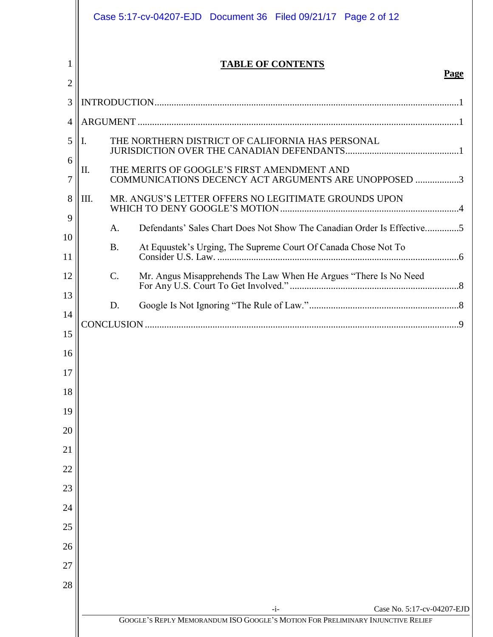|          | Case 5:17-cv-04207-EJD  Document 36  Filed 09/21/17  Page 2 of 12                                         |
|----------|-----------------------------------------------------------------------------------------------------------|
| 1<br>2   | <b>TABLE OF CONTENTS</b><br>Page                                                                          |
| 3        |                                                                                                           |
| 4        |                                                                                                           |
| 5        | THE NORTHERN DISTRICT OF CALIFORNIA HAS PERSONAL<br>Ι.                                                    |
| 6<br>7   | THE MERITS OF GOOGLE'S FIRST AMENDMENT AND<br>II.<br>COMMUNICATIONS DECENCY ACT ARGUMENTS ARE UNOPPOSED 3 |
| 8        | III.<br>MR. ANGUS'S LETTER OFFERS NO LEGITIMATE GROUNDS UPON                                              |
| 9        | Defendants' Sales Chart Does Not Show The Canadian Order Is Effective5<br>A.                              |
| 10<br>11 | At Equustek's Urging, The Supreme Court Of Canada Chose Not To<br><b>B.</b>                               |
| 12       | $\mathcal{C}$ .                                                                                           |
| 13       | D.                                                                                                        |
| 14       |                                                                                                           |
| 15       |                                                                                                           |
| 16<br>17 |                                                                                                           |
| 18       |                                                                                                           |
| 19       |                                                                                                           |
| 20       |                                                                                                           |
| 21       |                                                                                                           |
| 22       |                                                                                                           |
| 23       |                                                                                                           |
| 24       |                                                                                                           |
| 25       |                                                                                                           |
| 26       |                                                                                                           |
| 27       |                                                                                                           |
| 28       |                                                                                                           |
|          | Case No. 5:17-cv-04207-EJD<br>$-i-$                                                                       |
|          | GOOGLE'S REPLY MEMORANDUM ISO GOOGLE'S MOTION FOR PRELIMINARY INJUNCTIVE RELIEF                           |
|          |                                                                                                           |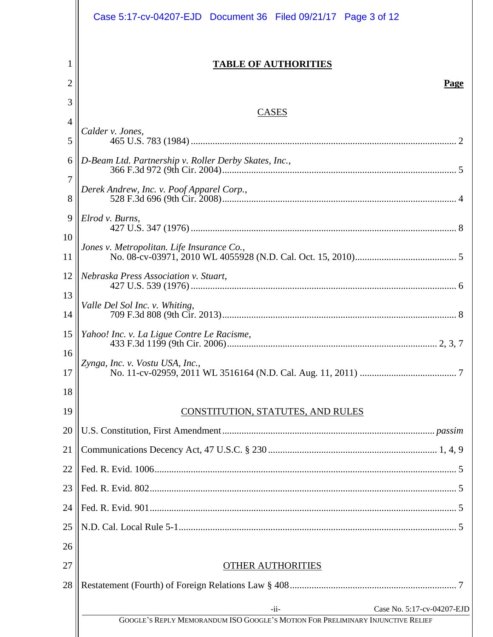|                | Case 5:17-cv-04207-EJD  Document 36  Filed 09/21/17  Page 3 of 12                                  |  |  |
|----------------|----------------------------------------------------------------------------------------------------|--|--|
| 1<br>2         | <b>TABLE OF AUTHORITIES</b><br>Page                                                                |  |  |
| 3              |                                                                                                    |  |  |
| $\overline{4}$ | <b>CASES</b><br>Calder v. Jones,                                                                   |  |  |
| 5              |                                                                                                    |  |  |
| 6              | D-Beam Ltd. Partnership v. Roller Derby Skates, Inc.,<br>Derek Andrew, Inc. v. Poof Apparel Corp., |  |  |
| 7<br>8         |                                                                                                    |  |  |
| 9              | Elrod v. Burns,                                                                                    |  |  |
| 10<br>11       | Jones v. Metropolitan. Life Insurance Co.,                                                         |  |  |
| 12             | Nebraska Press Association v. Stuart,                                                              |  |  |
| 13<br>14       | Valle Del Sol Inc. v. Whiting,                                                                     |  |  |
| 15             | Yahoo! Inc. v. La Ligue Contre Le Racisme,                                                         |  |  |
| 16<br>17       | Zynga, Inc. v. Vostu USA, Inc.,                                                                    |  |  |
| 18             |                                                                                                    |  |  |
| 19             | CONSTITUTION, STATUTES, AND RULES                                                                  |  |  |
| 20             |                                                                                                    |  |  |
| 21             |                                                                                                    |  |  |
| 22             |                                                                                                    |  |  |
| 23             |                                                                                                    |  |  |
| 24             |                                                                                                    |  |  |
| 25             |                                                                                                    |  |  |
| 26             |                                                                                                    |  |  |
| 27             | <b>OTHER AUTHORITIES</b>                                                                           |  |  |
| 28             |                                                                                                    |  |  |
|                | $-i$ i-<br>Case No. 5:17-cv-04207-EJD                                                              |  |  |
|                | GOOGLE'S REPLY MEMORANDUM ISO GOOGLE'S MOTION FOR PRELIMINARY INJUNCTIVE RELIEF                    |  |  |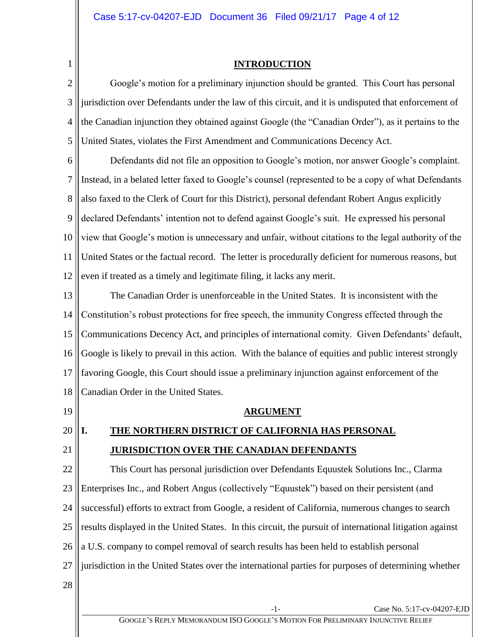<span id="page-3-0"></span>1

## **INTRODUCTION**

2 3 4 5 Google's motion for a preliminary injunction should be granted. This Court has personal jurisdiction over Defendants under the law of this circuit, and it is undisputed that enforcement of the Canadian injunction they obtained against Google (the "Canadian Order"), as it pertains to the United States, violates the First Amendment and Communications Decency Act.

6 7 8 9 10 11 12 Defendants did not file an opposition to Google's motion, nor answer Google's complaint. Instead, in a belated letter faxed to Google's counsel (represented to be a copy of what Defendants also faxed to the Clerk of Court for this District), personal defendant Robert Angus explicitly declared Defendants' intention not to defend against Google's suit. He expressed his personal view that Google's motion is unnecessary and unfair, without citations to the legal authority of the United States or the factual record. The letter is procedurally deficient for numerous reasons, but even if treated as a timely and legitimate filing, it lacks any merit.

13 14 15 16 17 18 The Canadian Order is unenforceable in the United States. It is inconsistent with the Constitution's robust protections for free speech, the immunity Congress effected through the Communications Decency Act, and principles of international comity. Given Defendants' default, Google is likely to prevail in this action. With the balance of equities and public interest strongly favoring Google, this Court should issue a preliminary injunction against enforcement of the Canadian Order in the United States.

<span id="page-3-1"></span>19

21

**ARGUMENT**

#### <span id="page-3-2"></span>20 **I. THE NORTHERN DISTRICT OF CALIFORNIA HAS PERSONAL JURISDICTION OVER THE CANADIAN DEFENDANTS**

22 23 24 25 26 27 28 This Court has personal jurisdiction over Defendants Equustek Solutions Inc., Clarma Enterprises Inc., and Robert Angus (collectively "Equustek") based on their persistent (and successful) efforts to extract from Google, a resident of California, numerous changes to search results displayed in the United States. In this circuit, the pursuit of international litigation against a U.S. company to compel removal of search results has been held to establish personal jurisdiction in the United States over the international parties for purposes of determining whether

-1- Case No. 5:17-cv-04207-EJD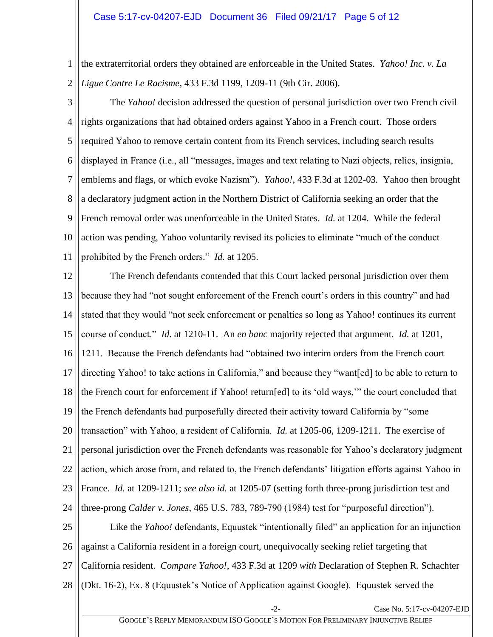1 2 the extraterritorial orders they obtained are enforceable in the United States. *Yahoo! Inc. v. La Ligue Contre Le Racisme*, 433 F.3d 1199, 1209-11 (9th Cir. 2006).

3 4 5 6 7 8 9 10 11 The *Yahoo!* decision addressed the question of personal jurisdiction over two French civil rights organizations that had obtained orders against Yahoo in a French court. Those orders required Yahoo to remove certain content from its French services, including search results displayed in France (i.e., all "messages, images and text relating to Nazi objects, relics, insignia, emblems and flags, or which evoke Nazism"). *Yahoo!*, 433 F.3d at 1202-03*.* Yahoo then brought a declaratory judgment action in the Northern District of California seeking an order that the French removal order was unenforceable in the United States. *Id.* at 1204. While the federal action was pending, Yahoo voluntarily revised its policies to eliminate "much of the conduct prohibited by the French orders." *Id.* at 1205.

12 13 14 15 16 17 18 19 20 21 22 23 24 25 The French defendants contended that this Court lacked personal jurisdiction over them because they had "not sought enforcement of the French court's orders in this country" and had stated that they would "not seek enforcement or penalties so long as Yahoo! continues its current course of conduct." *Id.* at 1210-11. An *en banc* majority rejected that argument. *Id.* at 1201, 1211. Because the French defendants had "obtained two interim orders from the French court directing Yahoo! to take actions in California," and because they "want[ed] to be able to return to the French court for enforcement if Yahoo! return[ed] to its 'old ways,'" the court concluded that the French defendants had purposefully directed their activity toward California by "some transaction" with Yahoo, a resident of California. *Id.* at 1205-06, 1209-1211. The exercise of personal jurisdiction over the French defendants was reasonable for Yahoo's declaratory judgment action, which arose from, and related to, the French defendants' litigation efforts against Yahoo in France. *Id.* at 1209-1211; *see also id.* at 1205-07 (setting forth three-prong jurisdiction test and three-prong *Calder v. Jones*, 465 U.S. 783, 789-790 (1984) test for "purposeful direction"). Like the *Yahoo!* defendants, Equustek "intentionally filed" an application for an injunction

26 against a California resident in a foreign court, unequivocally seeking relief targeting that

27 California resident. *Compare Yahoo!*, 433 F.3d at 1209 *with* Declaration of Stephen R. Schachter

28 (Dkt. 16-2), Ex. 8 (Equustek's Notice of Application against Google). Equustek served the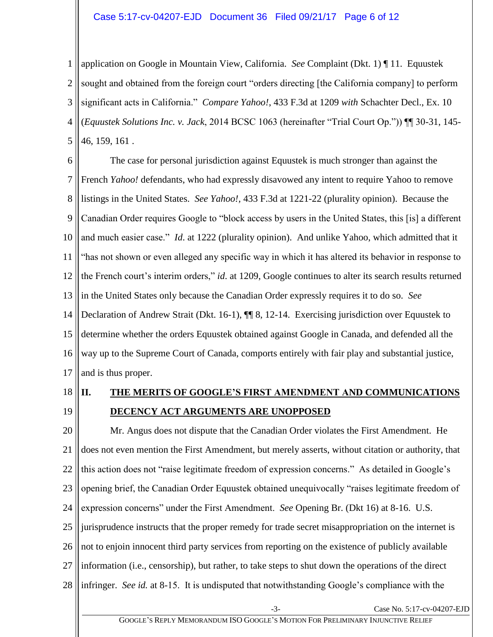### Case 5:17-cv-04207-EJD Document 36 Filed 09/21/17 Page 6 of 12

1 2 3 4 5 application on Google in Mountain View, California. *See* Complaint (Dkt. 1) ¶ 11. Equustek sought and obtained from the foreign court "orders directing [the California company] to perform significant acts in California." *Compare Yahoo!*, 433 F.3d at 1209 *with* Schachter Decl., Ex. 10 (*Equustek Solutions Inc. v. Jack*, 2014 BCSC 1063 (hereinafter "Trial Court Op.")) ¶¶ 30-31, 145- 46, 159, 161 .

6 7 8 9 10 11 12 13 14 15 16 17 The case for personal jurisdiction against Equustek is much stronger than against the French *Yahoo!* defendants, who had expressly disavowed any intent to require Yahoo to remove listings in the United States. *See Yahoo!,* 433 F.3d at 1221-22 (plurality opinion). Because the Canadian Order requires Google to "block access by users in the United States, this [is] a different and much easier case." *Id*. at 1222 (plurality opinion). And unlike Yahoo, which admitted that it "has not shown or even alleged any specific way in which it has altered its behavior in response to the French court's interim orders," *id*. at 1209, Google continues to alter its search results returned in the United States only because the Canadian Order expressly requires it to do so. *See*  Declaration of Andrew Strait (Dkt. 16-1), ¶¶ 8, 12-14. Exercising jurisdiction over Equustek to determine whether the orders Equustek obtained against Google in Canada, and defended all the way up to the Supreme Court of Canada, comports entirely with fair play and substantial justice, and is thus proper.

- 18
- 19

# <span id="page-5-0"></span>**II. THE MERITS OF GOOGLE'S FIRST AMENDMENT AND COMMUNICATIONS DECENCY ACT ARGUMENTS ARE UNOPPOSED**

20 21 22 23 24 25 26 27 28 Mr. Angus does not dispute that the Canadian Order violates the First Amendment. He does not even mention the First Amendment, but merely asserts, without citation or authority, that this action does not "raise legitimate freedom of expression concerns." As detailed in Google's opening brief, the Canadian Order Equustek obtained unequivocally "raises legitimate freedom of expression concerns" under the First Amendment. *See* Opening Br. (Dkt 16) at 8-16. U.S. jurisprudence instructs that the proper remedy for trade secret misappropriation on the internet is not to enjoin innocent third party services from reporting on the existence of publicly available information (i.e., censorship), but rather, to take steps to shut down the operations of the direct infringer. *See id.* at 8-15. It is undisputed that notwithstanding Google's compliance with the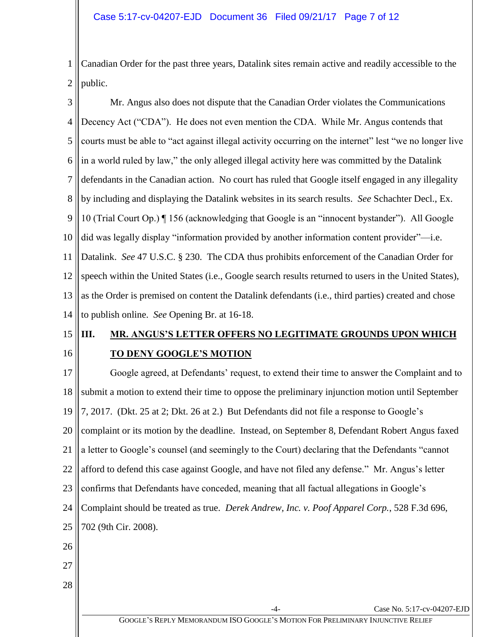1 2 Canadian Order for the past three years, Datalink sites remain active and readily accessible to the public.

3

4 5 6 7 8 9 10 11 12 13 14 Mr. Angus also does not dispute that the Canadian Order violates the Communications Decency Act ("CDA"). He does not even mention the CDA. While Mr. Angus contends that courts must be able to "act against illegal activity occurring on the internet" lest "we no longer live in a world ruled by law," the only alleged illegal activity here was committed by the Datalink defendants in the Canadian action. No court has ruled that Google itself engaged in any illegality by including and displaying the Datalink websites in its search results. *See* Schachter Decl., Ex. 10 (Trial Court Op.) ¶ 156 (acknowledging that Google is an "innocent bystander"). All Google did was legally display "information provided by another information content provider"—i.e. Datalink. *See* 47 U.S.C. § 230. The CDA thus prohibits enforcement of the Canadian Order for speech within the United States (i.e., Google search results returned to users in the United States), as the Order is premised on content the Datalink defendants (i.e., third parties) created and chose to publish online. *See* Opening Br. at 16-18.

#### <span id="page-6-0"></span>15 16 **III. MR. ANGUS'S LETTER OFFERS NO LEGITIMATE GROUNDS UPON WHICH TO DENY GOOGLE'S MOTION**

17 18 19 20 21 22 23 24 25 26 27 28 Case No. 5:17-cv-04207-EJD Google agreed, at Defendants' request, to extend their time to answer the Complaint and to submit a motion to extend their time to oppose the preliminary injunction motion until September 7, 2017. (Dkt. 25 at 2; Dkt. 26 at 2.) But Defendants did not file a response to Google's complaint or its motion by the deadline. Instead, on September 8, Defendant Robert Angus faxed a letter to Google's counsel (and seemingly to the Court) declaring that the Defendants "cannot afford to defend this case against Google, and have not filed any defense." Mr. Angus's letter confirms that Defendants have conceded, meaning that all factual allegations in Google's Complaint should be treated as true. *Derek Andrew, Inc. v. Poof Apparel Corp.*, 528 F.3d 696, 702 (9th Cir. 2008).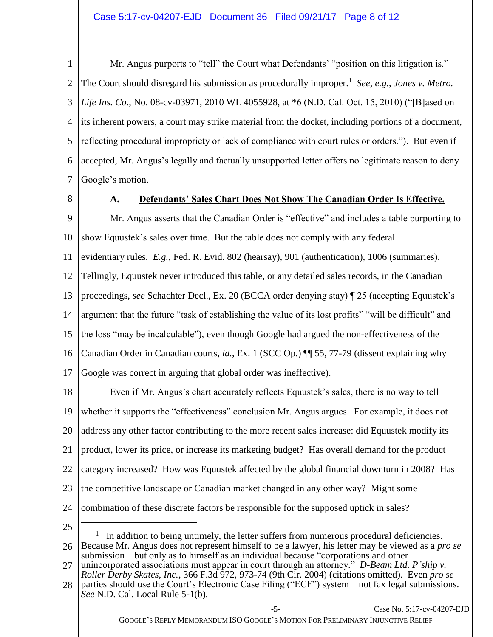1 2 3 4 5 6 7 Mr. Angus purports to "tell" the Court what Defendants' "position on this litigation is." The Court should disregard his submission as procedurally improper.<sup>1</sup> See, e.g., Jones v. Metro. *Life Ins. Co.*, No. 08-cv-03971, 2010 WL 4055928, at \*6 (N.D. Cal. Oct. 15, 2010) ("[B]ased on its inherent powers, a court may strike material from the docket, including portions of a document, reflecting procedural impropriety or lack of compliance with court rules or orders.").But even if accepted, Mr. Angus's legally and factually unsupported letter offers no legitimate reason to deny Google's motion.

<span id="page-7-0"></span>8

## **A. Defendants' Sales Chart Does Not Show The Canadian Order Is Effective.**

9 10 11 12 13 14 15 16 17 Mr. Angus asserts that the Canadian Order is "effective" and includes a table purporting to show Equustek's sales over time. But the table does not comply with any federal evidentiary rules. *E.g.*, Fed. R. Evid. 802 (hearsay), 901 (authentication), 1006 (summaries). Tellingly, Equustek never introduced this table, or any detailed sales records, in the Canadian proceedings, *see* Schachter Decl., Ex. 20 (BCCA order denying stay) ¶ 25 (accepting Equustek's argument that the future "task of establishing the value of its lost profits" "will be difficult" and the loss "may be incalculable"), even though Google had argued the non-effectiveness of the Canadian Order in Canadian courts, *id.*, Ex. 1 (SCC Op.) ¶¶ 55, 77-79 (dissent explaining why Google was correct in arguing that global order was ineffective).

18 19 20 21 22 23 24 Even if Mr. Angus's chart accurately reflects Equustek's sales, there is no way to tell whether it supports the "effectiveness" conclusion Mr. Angus argues. For example, it does not address any other factor contributing to the more recent sales increase: did Equustek modify its product, lower its price, or increase its marketing budget? Has overall demand for the product category increased? How was Equustek affected by the global financial downturn in 2008? Has the competitive landscape or Canadian market changed in any other way? Might some combination of these discrete factors be responsible for the supposed uptick in sales?

25

 $\overline{a}$ 

26 1 In addition to being untimely, the letter suffers from numerous procedural deficiencies. Because Mr. Angus does not represent himself to be a lawyer, his letter may be viewed as a *pro se* submission—but only as to himself as an individual because "corporations and other

27 unincorporated associations must appear in court through an attorney." *D-Beam Ltd. P'ship v. Roller Derby Skates, Inc.*, 366 F.3d 972, 973-74 (9th Cir. 2004) (citations omitted). Even *pro se* 

<sup>28</sup> parties should use the Court's Electronic Case Filing ("ECF") system—not fax legal submissions. *See* N.D. Cal. Local Rule 5-1(b).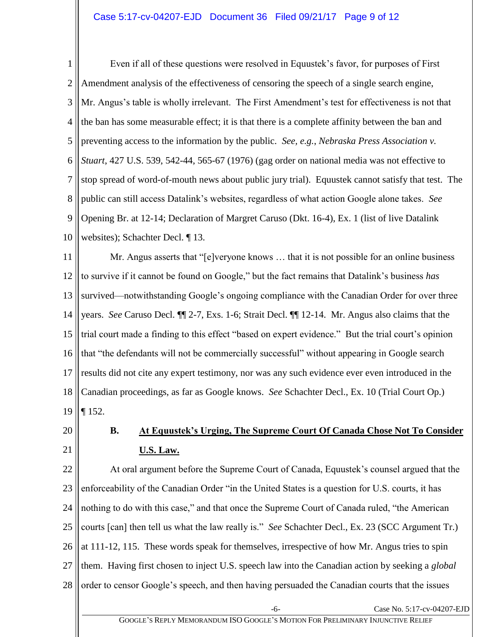## Case 5:17-cv-04207-EJD Document 36 Filed 09/21/17 Page 9 of 12

1 2 3 4 5 6 7 8 9 10 Even if all of these questions were resolved in Equustek's favor, for purposes of First Amendment analysis of the effectiveness of censoring the speech of a single search engine, Mr. Angus's table is wholly irrelevant. The First Amendment's test for effectiveness is not that the ban has some measurable effect; it is that there is a complete affinity between the ban and preventing access to the information by the public. *See, e.g.*, *Nebraska Press Association v. Stuart*, 427 U.S. 539, 542-44, 565-67 (1976) (gag order on national media was not effective to stop spread of word-of-mouth news about public jury trial). Equustek cannot satisfy that test. The public can still access Datalink's websites, regardless of what action Google alone takes. *See*  Opening Br. at 12-14; Declaration of Margret Caruso (Dkt. 16-4), Ex. 1 (list of live Datalink websites); Schachter Decl. ¶ 13.

11 12 13 14 15 16 17 18 19 Mr. Angus asserts that "[e]veryone knows … that it is not possible for an online business to survive if it cannot be found on Google," but the fact remains that Datalink's business *has* survived—notwithstanding Google's ongoing compliance with the Canadian Order for over three years. *See* Caruso Decl. ¶¶ 2-7, Exs. 1-6; Strait Decl. ¶¶ 12-14. Mr. Angus also claims that the trial court made a finding to this effect "based on expert evidence." But the trial court's opinion that "the defendants will not be commercially successful" without appearing in Google search results did not cite any expert testimony, nor was any such evidence ever even introduced in the Canadian proceedings, as far as Google knows. *See* Schachter Decl., Ex. 10 (Trial Court Op.) ¶ 152.

<span id="page-8-0"></span>20

21

# **B. At Equustek's Urging, The Supreme Court Of Canada Chose Not To Consider U.S. Law.**

22 23 24 25 26 27 28 At oral argument before the Supreme Court of Canada, Equustek's counsel argued that the enforceability of the Canadian Order "in the United States is a question for U.S. courts, it has nothing to do with this case," and that once the Supreme Court of Canada ruled, "the American courts [can] then tell us what the law really is." *See* Schachter Decl., Ex. 23 (SCC Argument Tr.) at 111-12, 115. These words speak for themselves, irrespective of how Mr. Angus tries to spin them. Having first chosen to inject U.S. speech law into the Canadian action by seeking a *global* order to censor Google's speech, and then having persuaded the Canadian courts that the issues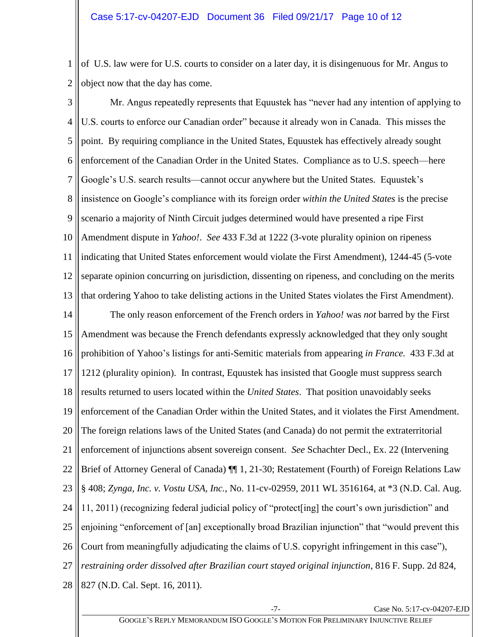1 2 of U.S. law were for U.S. courts to consider on a later day, it is disingenuous for Mr. Angus to object now that the day has come.

3 4 5 6 7 8 9 10 11 12 13 14 15 16 17 18 19 20 21 22 23 24 25 26 27 28 Mr. Angus repeatedly represents that Equustek has "never had any intention of applying to U.S. courts to enforce our Canadian order" because it already won in Canada. This misses the point. By requiring compliance in the United States, Equustek has effectively already sought enforcement of the Canadian Order in the United States. Compliance as to U.S. speech—here Google's U.S. search results—cannot occur anywhere but the United States. Equustek's insistence on Google's compliance with its foreign order *within the United States* is the precise scenario a majority of Ninth Circuit judges determined would have presented a ripe First Amendment dispute in *Yahoo!*. *See* 433 F.3d at 1222 (3-vote plurality opinion on ripeness indicating that United States enforcement would violate the First Amendment), 1244-45 (5-vote separate opinion concurring on jurisdiction, dissenting on ripeness, and concluding on the merits that ordering Yahoo to take delisting actions in the United States violates the First Amendment). The only reason enforcement of the French orders in *Yahoo!* was *not* barred by the First Amendment was because the French defendants expressly acknowledged that they only sought prohibition of Yahoo's listings for anti-Semitic materials from appearing *in France.* 433 F.3d at 1212 (plurality opinion). In contrast, Equustek has insisted that Google must suppress search results returned to users located within the *United States*. That position unavoidably seeks enforcement of the Canadian Order within the United States, and it violates the First Amendment. The foreign relations laws of the United States (and Canada) do not permit the extraterritorial enforcement of injunctions absent sovereign consent. *See* Schachter Decl., Ex. 22 (Intervening Brief of Attorney General of Canada) ¶¶ 1, 21-30; Restatement (Fourth) of Foreign Relations Law § 408; *Zynga, Inc. v. Vostu USA, Inc.*, No. 11-cv-02959, 2011 WL 3516164, at \*3 (N.D. Cal. Aug. 11, 2011) (recognizing federal judicial policy of "protect[ing] the court's own jurisdiction" and enjoining "enforcement of [an] exceptionally broad Brazilian injunction" that "would prevent this Court from meaningfully adjudicating the claims of U.S. copyright infringement in this case"), *restraining order dissolved after Brazilian court stayed original injunction*, 816 F. Supp. 2d 824, 827 (N.D. Cal. Sept. 16, 2011).

Case No. 5:17-cv-04207-EJD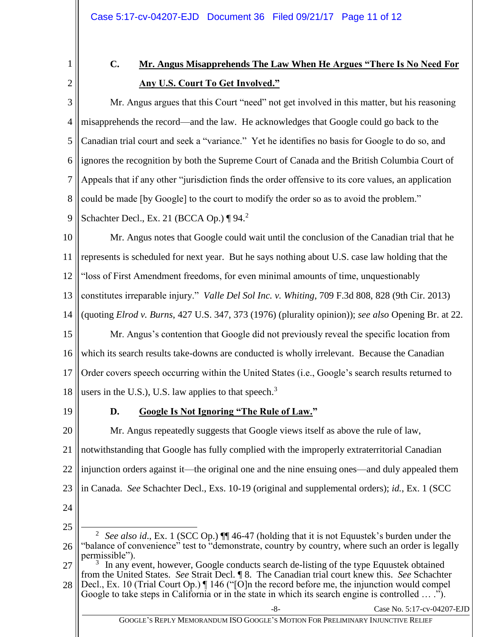<span id="page-10-0"></span>1 2

# **C. Mr. Angus Misapprehends The Law When He Argues "There Is No Need For Any U.S. Court To Get Involved."**

3 4 5 6 7 8 Mr. Angus argues that this Court "need" not get involved in this matter, but his reasoning misapprehends the record—and the law. He acknowledges that Google could go back to the Canadian trial court and seek a "variance." Yet he identifies no basis for Google to do so, and ignores the recognition by both the Supreme Court of Canada and the British Columbia Court of Appeals that if any other "jurisdiction finds the order offensive to its core values, an application could be made [by Google] to the court to modify the order so as to avoid the problem."

9 Schachter Decl., Ex. 21 (BCCA Op.)  $\P 94.2$ 

10 11 12 13 14 Mr. Angus notes that Google could wait until the conclusion of the Canadian trial that he represents is scheduled for next year. But he says nothing about U.S. case law holding that the "loss of First Amendment freedoms, for even minimal amounts of time, unquestionably constitutes irreparable injury." *Valle Del Sol Inc. v. Whiting*, 709 F.3d 808, 828 (9th Cir. 2013) (quoting *Elrod v. Burns*, 427 U.S. 347, 373 (1976) (plurality opinion)); *see also* Opening Br. at 22.

15 16 17 18 Mr. Angus's contention that Google did not previously reveal the specific location from which its search results take-downs are conducted is wholly irrelevant. Because the Canadian Order covers speech occurring within the United States (i.e., Google's search results returned to users in the U.S.), U.S. law applies to that speech.<sup>3</sup>

<span id="page-10-1"></span>19

# **D. Google Is Not Ignoring "The Rule of Law."**

20 21 22 23 24 Mr. Angus repeatedly suggests that Google views itself as above the rule of law, notwithstanding that Google has fully complied with the improperly extraterritorial Canadian injunction orders against it—the original one and the nine ensuing ones—and duly appealed them in Canada. *See* Schachter Decl., Exs. 10-19 (original and supplemental orders); *id.*, Ex. 1 (SCC

25

-8- Case No. 5:17-cv-04207-EJD

<sup>26</sup>  $\overline{a}$ 2 *See also id.*, Ex. 1 (SCC Op.)  $\P\P$  46-47 (holding that it is not Equustek's burden under the "balance of convenience" test to "demonstrate, country by country, where such an order is legally permissible").

<sup>27</sup> 28 <sup>3</sup> In any event, however, Google conducts search de-listing of the type Equustek obtained from the United States. *See* Strait Decl. ¶ 8. The Canadian trial court knew this. *See* Schachter Decl., Ex. 10 (Trial Court Op.) ¶ 146 ("[O]n the record before me, the injunction would compel Google to take steps in California or in the state in which its search engine is controlled ....").